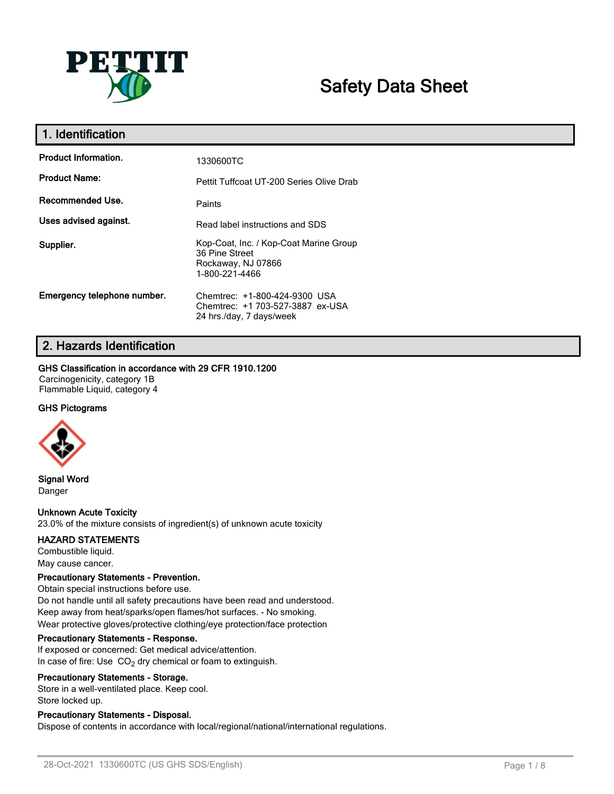

# **Safety Data Sheet**

| 1. Identification           |                                                                                                  |
|-----------------------------|--------------------------------------------------------------------------------------------------|
| <b>Product Information.</b> | 1330600TC                                                                                        |
| <b>Product Name:</b>        | Pettit Tuffcoat UT-200 Series Olive Drab                                                         |
| Recommended Use.            | Paints                                                                                           |
| Uses advised against.       | Read label instructions and SDS                                                                  |
| Supplier.                   | Kop-Coat, Inc. / Kop-Coat Marine Group<br>36 Pine Street<br>Rockaway, NJ 07866<br>1-800-221-4466 |
| Emergency telephone number. | Chemtrec: +1-800-424-9300 USA<br>Chemtrec: +1 703-527-3887 ex-USA<br>24 hrs./day, 7 days/week    |

# **2. Hazards Identification**

#### **GHS Classification in accordance with 29 CFR 1910.1200**

Carcinogenicity, category 1B Flammable Liquid, category 4

# **GHS Pictograms**



**Signal Word** Danger

# **Unknown Acute Toxicity**

23.0% of the mixture consists of ingredient(s) of unknown acute toxicity

#### **HAZARD STATEMENTS**

Combustible liquid. May cause cancer.

#### **Precautionary Statements - Prevention.**

Obtain special instructions before use. Do not handle until all safety precautions have been read and understood. Keep away from heat/sparks/open flames/hot surfaces. - No smoking. Wear protective gloves/protective clothing/eye protection/face protection

#### **Precautionary Statements - Response.**

If exposed or concerned: Get medical advice/attention. In case of fire: Use  $CO<sub>2</sub>$  dry chemical or foam to extinguish.

#### **Precautionary Statements - Storage.**

Store in a well-ventilated place. Keep cool. Store locked up.

# **Precautionary Statements - Disposal.**

Dispose of contents in accordance with local/regional/national/international regulations.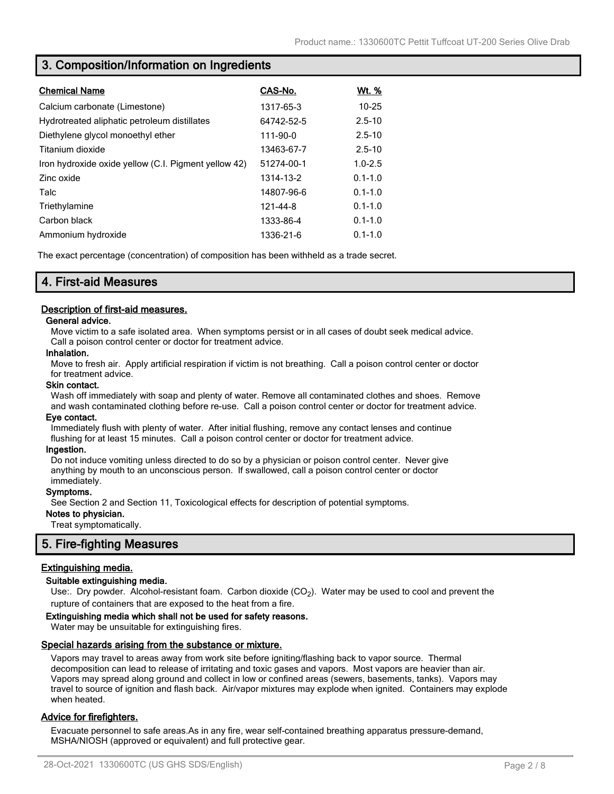# **3. Composition/Information on Ingredients**

| <b>Chemical Name</b>                                 | CAS-No.    | <u>Wt. %</u> |
|------------------------------------------------------|------------|--------------|
| Calcium carbonate (Limestone)                        | 1317-65-3  | $10 - 25$    |
| Hydrotreated aliphatic petroleum distillates         | 64742-52-5 | $2.5 - 10$   |
| Diethylene glycol monoethyl ether                    | 111-90-0   | $2.5 - 10$   |
| Titanium dioxide                                     | 13463-67-7 | $2.5 - 10$   |
| Iron hydroxide oxide yellow (C.I. Pigment yellow 42) | 51274-00-1 | $1.0 - 2.5$  |
| Zinc oxide                                           | 1314-13-2  | $0.1 - 1.0$  |
| Talc                                                 | 14807-96-6 | $0.1 - 1.0$  |
| Triethylamine                                        | 121-44-8   | $0.1 - 1.0$  |
| Carbon black                                         | 1333-86-4  | $0.1 - 1.0$  |
| Ammonium hydroxide                                   | 1336-21-6  | $0.1 - 1.0$  |

The exact percentage (concentration) of composition has been withheld as a trade secret.

# **4. First-aid Measures**

# **Description of first-aid measures.**

#### **General advice.**

Move victim to a safe isolated area. When symptoms persist or in all cases of doubt seek medical advice. Call a poison control center or doctor for treatment advice.

#### **Inhalation.**

Move to fresh air. Apply artificial respiration if victim is not breathing. Call a poison control center or doctor for treatment advice.

#### **Skin contact.**

Wash off immediately with soap and plenty of water. Remove all contaminated clothes and shoes. Remove and wash contaminated clothing before re-use. Call a poison control center or doctor for treatment advice.

#### **Eye contact.**

Immediately flush with plenty of water. After initial flushing, remove any contact lenses and continue flushing for at least 15 minutes. Call a poison control center or doctor for treatment advice.

#### **Ingestion.**

Do not induce vomiting unless directed to do so by a physician or poison control center. Never give anything by mouth to an unconscious person. If swallowed, call a poison control center or doctor immediately.

#### **Symptoms.**

See Section 2 and Section 11, Toxicological effects for description of potential symptoms.

# **Notes to physician.**

Treat symptomatically.

# **5. Fire-fighting Measures**

# **Extinguishing media.**

#### **Suitable extinguishing media.**

Use:. Dry powder. Alcohol-resistant foam. Carbon dioxide (CO<sub>2</sub>). Water may be used to cool and prevent the rupture of containers that are exposed to the heat from a fire.

#### **Extinguishing media which shall not be used for safety reasons.**

Water may be unsuitable for extinguishing fires.

#### **Special hazards arising from the substance or mixture.**

Vapors may travel to areas away from work site before igniting/flashing back to vapor source. Thermal decomposition can lead to release of irritating and toxic gases and vapors. Most vapors are heavier than air. Vapors may spread along ground and collect in low or confined areas (sewers, basements, tanks). Vapors may travel to source of ignition and flash back. Air/vapor mixtures may explode when ignited. Containers may explode when heated.

# **Advice for firefighters.**

Evacuate personnel to safe areas.As in any fire, wear self-contained breathing apparatus pressure-demand, MSHA/NIOSH (approved or equivalent) and full protective gear.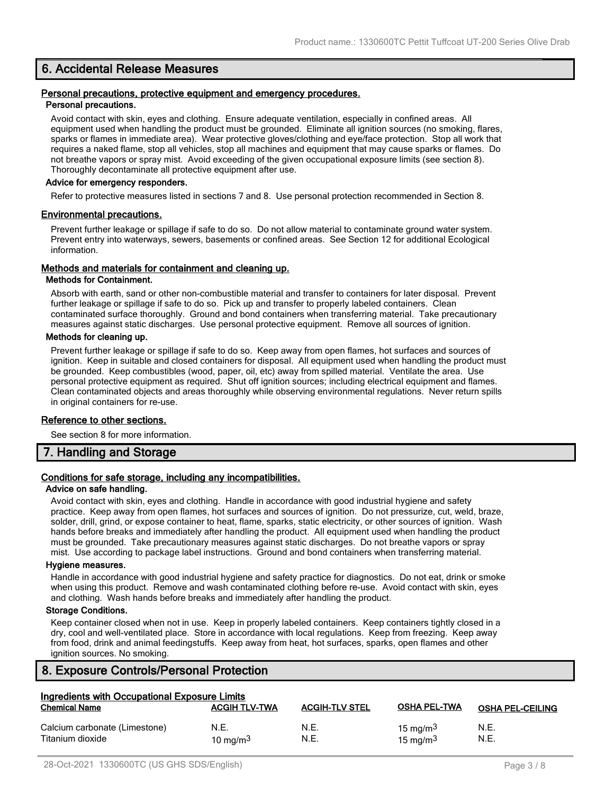# **6. Accidental Release Measures**

#### **Personal precautions, protective equipment and emergency procedures. Personal precautions.**

Avoid contact with skin, eyes and clothing. Ensure adequate ventilation, especially in confined areas. All equipment used when handling the product must be grounded. Eliminate all ignition sources (no smoking, flares, sparks or flames in immediate area). Wear protective gloves/clothing and eye/face protection. Stop all work that requires a naked flame, stop all vehicles, stop all machines and equipment that may cause sparks or flames. Do not breathe vapors or spray mist. Avoid exceeding of the given occupational exposure limits (see section 8). Thoroughly decontaminate all protective equipment after use.

#### **Advice for emergency responders.**

Refer to protective measures listed in sections 7 and 8. Use personal protection recommended in Section 8.

#### **Environmental precautions.**

Prevent further leakage or spillage if safe to do so. Do not allow material to contaminate ground water system. Prevent entry into waterways, sewers, basements or confined areas. See Section 12 for additional Ecological information.

#### **Methods and materials for containment and cleaning up.**

#### **Methods for Containment.**

Absorb with earth, sand or other non-combustible material and transfer to containers for later disposal. Prevent further leakage or spillage if safe to do so. Pick up and transfer to properly labeled containers. Clean contaminated surface thoroughly. Ground and bond containers when transferring material. Take precautionary measures against static discharges. Use personal protective equipment. Remove all sources of ignition.

#### **Methods for cleaning up.**

Prevent further leakage or spillage if safe to do so. Keep away from open flames, hot surfaces and sources of ignition. Keep in suitable and closed containers for disposal. All equipment used when handling the product must be grounded. Keep combustibles (wood, paper, oil, etc) away from spilled material. Ventilate the area. Use personal protective equipment as required. Shut off ignition sources; including electrical equipment and flames. Clean contaminated objects and areas thoroughly while observing environmental regulations. Never return spills in original containers for re-use.

#### **Reference to other sections.**

See section 8 for more information.

# **7. Handling and Storage**

#### **Conditions for safe storage, including any incompatibilities.**

#### **Advice on safe handling.**

Avoid contact with skin, eyes and clothing. Handle in accordance with good industrial hygiene and safety practice. Keep away from open flames, hot surfaces and sources of ignition. Do not pressurize, cut, weld, braze, solder, drill, grind, or expose container to heat, flame, sparks, static electricity, or other sources of ignition. Wash hands before breaks and immediately after handling the product. All equipment used when handling the product must be grounded. Take precautionary measures against static discharges. Do not breathe vapors or spray mist. Use according to package label instructions. Ground and bond containers when transferring material.

#### **Hygiene measures.**

Handle in accordance with good industrial hygiene and safety practice for diagnostics. Do not eat, drink or smoke when using this product. Remove and wash contaminated clothing before re-use. Avoid contact with skin, eyes and clothing. Wash hands before breaks and immediately after handling the product.

#### **Storage Conditions.**

Keep container closed when not in use. Keep in properly labeled containers. Keep containers tightly closed in a dry, cool and well-ventilated place. Store in accordance with local regulations. Keep from freezing. Keep away from food, drink and animal feedingstuffs. Keep away from heat, hot surfaces, sparks, open flames and other ignition sources. No smoking.

# **8. Exposure Controls/Personal Protection**

| Ingredients with Occupational Exposure Limits     |                      |                       |                                     |                         |
|---------------------------------------------------|----------------------|-----------------------|-------------------------------------|-------------------------|
| <b>Chemical Name</b>                              | <b>ACGIH TLV-TWA</b> | <b>ACGIH-TLV STEL</b> | <b>OSHA PEL-TWA</b>                 | <b>OSHA PEL-CEILING</b> |
| Calcium carbonate (Limestone)<br>Titanium dioxide | N.E.<br>10 mg/m $3$  | N.E.<br>N.E.          | 15 mg/m <sup>3</sup><br>15 mg/m $3$ | N.E.<br>N.E.            |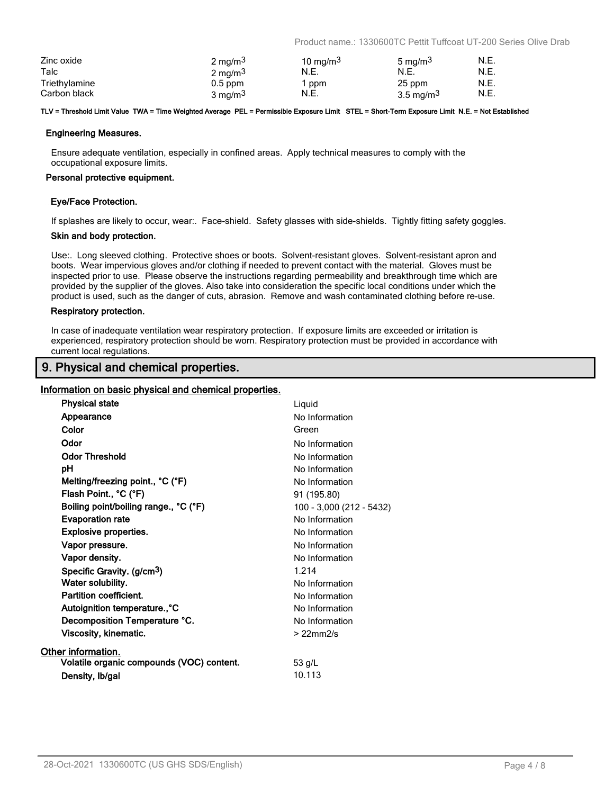Product name.: 1330600TC Pettit Tuffcoat UT-200 Series Olive Drab

| Zinc oxide    | $2 \text{ mg/m}^3$ | 10 mg/m <sup>3</sup> | 5 mg/m <sup>3</sup>   | N.E. |
|---------------|--------------------|----------------------|-----------------------|------|
| Talc          | $2 \text{ mg/m}^3$ | N.E.                 | N.E.                  | N.E. |
| Triethylamine | $0.5$ ppm          | ppm                  | 25 ppm                | N.E. |
| Carbon black  | 3 mg/m $3$         | N.E.                 | 3.5 mg/m <sup>3</sup> | N.E. |

#### **TLV = Threshold Limit Value TWA = Time Weighted Average PEL = Permissible Exposure Limit STEL = Short-Term Exposure Limit N.E. = Not Established**

#### **Engineering Measures.**

Ensure adequate ventilation, especially in confined areas. Apply technical measures to comply with the occupational exposure limits.

#### **Personal protective equipment.**

#### **Eye/Face Protection.**

If splashes are likely to occur, wear:. Face-shield. Safety glasses with side-shields. Tightly fitting safety goggles.

#### **Skin and body protection.**

Use:. Long sleeved clothing. Protective shoes or boots. Solvent-resistant gloves. Solvent-resistant apron and boots. Wear impervious gloves and/or clothing if needed to prevent contact with the material. Gloves must be inspected prior to use. Please observe the instructions regarding permeability and breakthrough time which are provided by the supplier of the gloves. Also take into consideration the specific local conditions under which the product is used, such as the danger of cuts, abrasion. Remove and wash contaminated clothing before re-use.

#### **Respiratory protection.**

In case of inadequate ventilation wear respiratory protection. If exposure limits are exceeded or irritation is experienced, respiratory protection should be worn. Respiratory protection must be provided in accordance with current local regulations.

# **9. Physical and chemical properties.**

#### **Information on basic physical and chemical properties.**

| <b>Physical state</b>                     | Liquid                   |
|-------------------------------------------|--------------------------|
| Appearance                                | No Information           |
| Color                                     | Green                    |
| Odor                                      | No Information           |
| <b>Odor Threshold</b>                     | No Information           |
| рH                                        | No Information           |
| Melting/freezing point., °C (°F)          | No Information           |
| Flash Point., °C (°F)                     | 91 (195.80)              |
| Boiling point/boiling range., °C (°F)     | 100 - 3,000 (212 - 5432) |
| <b>Evaporation rate</b>                   | No Information           |
| <b>Explosive properties.</b>              | No Information           |
| Vapor pressure.                           | No Information           |
| Vapor density.                            | No Information           |
| Specific Gravity. (g/cm <sup>3</sup> )    | 1.214                    |
| Water solubility.                         | No Information           |
| Partition coefficient.                    | No Information           |
| Autoignition temperature., °C             | No Information           |
| Decomposition Temperature °C.             | No Information           |
| Viscosity, kinematic.                     | $>22$ mm $2/s$           |
| Other information.                        |                          |
| Volatile organic compounds (VOC) content. | 53 g/L                   |
| Density, Ib/gal                           | 10.113                   |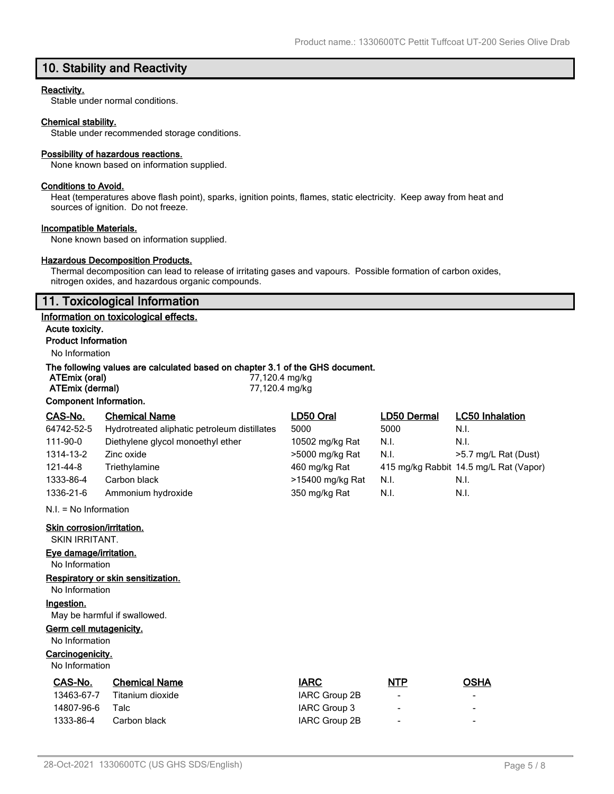# **10. Stability and Reactivity**

#### **Reactivity.**

Stable under normal conditions.

### **Chemical stability.**

Stable under recommended storage conditions.

#### **Possibility of hazardous reactions.**

None known based on information supplied.

#### **Conditions to Avoid.**

Heat (temperatures above flash point), sparks, ignition points, flames, static electricity. Keep away from heat and sources of ignition. Do not freeze.

#### **Incompatible Materials.**

None known based on information supplied.

# **Hazardous Decomposition Products.**

Thermal decomposition can lead to release of irritating gases and vapours. Possible formation of carbon oxides, nitrogen oxides, and hazardous organic compounds.

# **11. Toxicological Information**

#### **Information on toxicological effects.**

**Acute toxicity. Product Information**

# No Information

### **The following values are calculated based on chapter 3.1 of the GHS document.**

| ATEmix (oral)          | 77,120.4 mg/kg |
|------------------------|----------------|
| ATEmix (dermal)        | 77,120.4 mg/kg |
| Component Information. |                |

| CAS-No.    | <b>Chemical Name</b>                         | LD50 Oral        | <b>LD50 Dermal</b> | <b>LC50 Inhalation</b>                 |
|------------|----------------------------------------------|------------------|--------------------|----------------------------------------|
| 64742-52-5 | Hydrotreated aliphatic petroleum distillates | 5000             | 5000               | N.I.                                   |
| 111-90-0   | Diethylene glycol monoethyl ether            | 10502 mg/kg Rat  | N.I.               | N.I.                                   |
| 1314-13-2  | Zinc oxide                                   | >5000 mg/kg Rat  | N.I.               | >5.7 mg/L Rat (Dust)                   |
| 121-44-8   | Triethylamine                                | 460 mg/kg Rat    |                    | 415 mg/kg Rabbit 14.5 mg/L Rat (Vapor) |
| 1333-86-4  | Carbon black                                 | >15400 mg/kg Rat | N.I.               | N.I.                                   |
| 1336-21-6  | Ammonium hydroxide                           | 350 mg/kg Rat    | N.I.               | N.I.                                   |

N.I. = No Information

**Skin corrosion/irritation.**

SKIN IRRITANT.

# **Eye damage/irritation.**

No Information

# **Respiratory or skin sensitization.**

No Information

#### **Ingestion.**

May be harmful if swallowed.

#### **Germ cell mutagenicity.**

No Information

#### **Carcinogenicity.**

No Information

| CAS-No.    | <b>Chemical Name</b> | <b>IARC</b>   | <b>NTP</b>               | OSHA |
|------------|----------------------|---------------|--------------------------|------|
| 13463-67-7 | Titanium dioxide     | IARC Group 2B | $\overline{\phantom{a}}$ | -    |
| 14807-96-6 | Talc                 | IARC Group 3  | $\overline{\phantom{0}}$ | -    |
| 1333-86-4  | Carbon black         | IARC Group 2B | $\overline{\phantom{0}}$ | -    |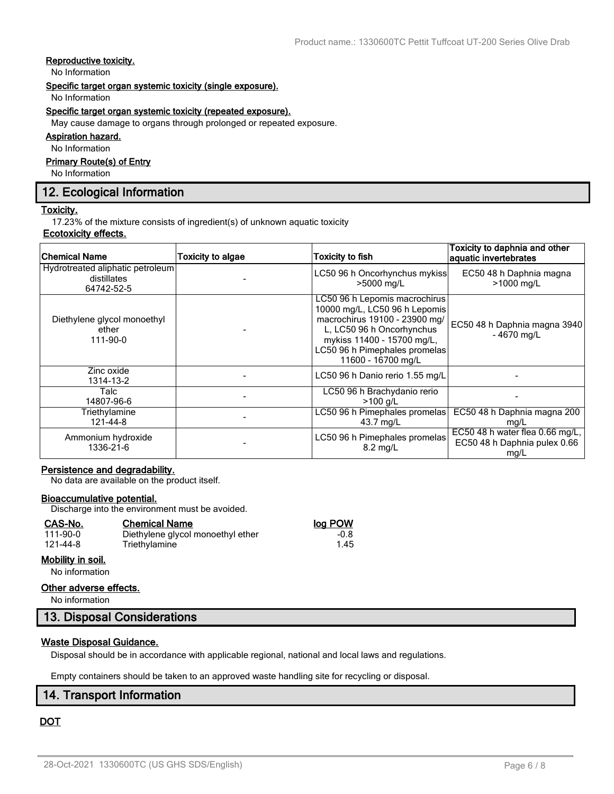# **Reproductive toxicity.**

No Information

#### **Specific target organ systemic toxicity (single exposure).**

No Information

#### **Specific target organ systemic toxicity (repeated exposure).**

May cause damage to organs through prolonged or repeated exposure.

#### **Aspiration hazard.**

No Information

# **Primary Route(s) of Entry**

No Information

# **12. Ecological Information**

#### **Toxicity.**

17.23% of the mixture consists of ingredient(s) of unknown aquatic toxicity

# **Ecotoxicity effects.**

| Chemical Name                                                 | <b>Toxicity to algae</b> | <b>Toxicity to fish</b>                                                                                                                                                                                           | Toxicity to daphnia and other<br>aquatic invertebrates                  |
|---------------------------------------------------------------|--------------------------|-------------------------------------------------------------------------------------------------------------------------------------------------------------------------------------------------------------------|-------------------------------------------------------------------------|
| Hydrotreated aliphatic petroleum<br>distillates<br>64742-52-5 |                          | LC50 96 h Oncorhynchus mykiss<br>>5000 mg/L                                                                                                                                                                       | EC50 48 h Daphnia magna<br>>1000 mg/L                                   |
| Diethylene glycol monoethyl<br>ether<br>111-90-0              |                          | LC50 96 h Lepomis macrochirus<br>10000 mg/L, LC50 96 h Lepomis<br>macrochirus 19100 - 23900 mg/<br>L, LC50 96 h Oncorhynchus<br>mykiss 11400 - 15700 mg/L,<br>LC50 96 h Pimephales promelas<br>11600 - 16700 mg/L | EC50 48 h Daphnia magna 3940<br>$-4670$ mg/L                            |
| Zinc oxide<br>1314-13-2                                       |                          | LC50 96 h Danio rerio 1.55 mg/L                                                                                                                                                                                   |                                                                         |
| Talc<br>14807-96-6                                            |                          | LC50 96 h Brachydanio rerio<br>$>100$ g/L                                                                                                                                                                         |                                                                         |
| Triethylamine<br>121-44-8                                     |                          | LC50 96 h Pimephales promelas<br>43.7 mg/L                                                                                                                                                                        | EC50 48 h Daphnia magna 200<br>mg/L                                     |
| Ammonium hydroxide<br>1336-21-6                               |                          | LC50 96 h Pimephales promelas<br>$8.2 \text{ ma/L}$                                                                                                                                                               | EC50 48 h water flea 0.66 mg/L,<br>EC50 48 h Daphnia pulex 0.66<br>mg/L |

# **Persistence and degradability.**

No data are available on the product itself.

#### **Bioaccumulative potential.**

Discharge into the environment must be avoided.

| CAS-No.           | <b>Chemical Name</b>              | log POW |
|-------------------|-----------------------------------|---------|
| 111-90-0          | Diethylene glycol monoethyl ether | $-0.8$  |
| 121-44-8          | Triethylamine                     | 1.45    |
| Mobility in soil. |                                   |         |

# No information

#### **Other adverse effects.**

No information

# **13. Disposal Considerations**

# **Waste Disposal Guidance.**

Disposal should be in accordance with applicable regional, national and local laws and regulations.

Empty containers should be taken to an approved waste handling site for recycling or disposal.

# **14. Transport Information**

# **DOT**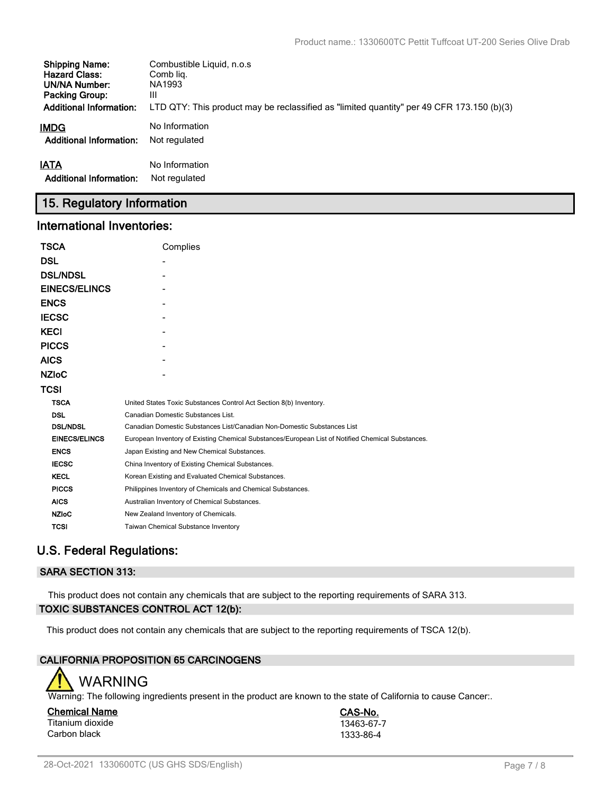| <b>Shipping Name:</b>          | Combustible Liquid, n.o.s.                                                                |
|--------------------------------|-------------------------------------------------------------------------------------------|
| <b>Hazard Class:</b>           | Comb lig.                                                                                 |
| UN/NA Number:                  | NA1993                                                                                    |
| <b>Packing Group:</b>          | Ш                                                                                         |
| <b>Additional Information:</b> | LTD QTY: This product may be reclassified as "limited quantity" per 49 CFR 173.150 (b)(3) |
| IMDG                           | No Information                                                                            |
| <b>Additional Information:</b> | Not regulated                                                                             |
| <b>IATA</b>                    | No Information                                                                            |
| <b>Additional Information:</b> | Not regulated                                                                             |

# **15. Regulatory Information**

# **International Inventories:**

| <b>TSCA</b>          | Complies                                                                                          |
|----------------------|---------------------------------------------------------------------------------------------------|
| <b>DSL</b>           |                                                                                                   |
| <b>DSL/NDSL</b>      |                                                                                                   |
| <b>EINECS/ELINCS</b> |                                                                                                   |
| <b>ENCS</b>          |                                                                                                   |
| <b>IECSC</b>         |                                                                                                   |
| <b>KECI</b>          |                                                                                                   |
| <b>PICCS</b>         |                                                                                                   |
| <b>AICS</b>          |                                                                                                   |
| <b>NZIOC</b>         |                                                                                                   |
| <b>TCSI</b>          |                                                                                                   |
| <b>TSCA</b>          | United States Toxic Substances Control Act Section 8(b) Inventory.                                |
| <b>DSL</b>           | Canadian Domestic Substances List.                                                                |
| <b>DSL/NDSL</b>      | Canadian Domestic Substances List/Canadian Non-Domestic Substances List                           |
| <b>EINECS/ELINCS</b> | European Inventory of Existing Chemical Substances/European List of Notified Chemical Substances. |
| <b>ENCS</b>          | Japan Existing and New Chemical Substances.                                                       |
| <b>IECSC</b>         | China Inventory of Existing Chemical Substances.                                                  |
| <b>KECL</b>          | Korean Existing and Evaluated Chemical Substances.                                                |
| <b>PICCS</b>         | Philippines Inventory of Chemicals and Chemical Substances.                                       |
| <b>AICS</b>          | Australian Inventory of Chemical Substances.                                                      |
| <b>NZIoC</b>         | New Zealand Inventory of Chemicals.                                                               |
| <b>TCSI</b>          | Taiwan Chemical Substance Inventory                                                               |

# **U.S. Federal Regulations:**

# **SARA SECTION 313:**

This product does not contain any chemicals that are subject to the reporting requirements of SARA 313. **TOXIC SUBSTANCES CONTROL ACT 12(b):**

This product does not contain any chemicals that are subject to the reporting requirements of TSCA 12(b).

# **CALIFORNIA PROPOSITION 65 CARCINOGENS**



Warning: The following ingredients present in the product are known to the state of California to cause Cancer:.

**Chemical Name CAS-No.** Titanium dioxide 13463-67-7<br>Carbon black 1333-86-4 Carbon black